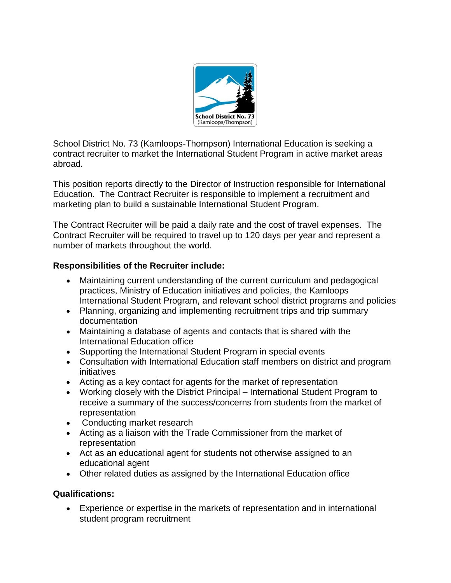

School District No. 73 (Kamloops-Thompson) International Education is seeking a contract recruiter to market the International Student Program in active market areas abroad.

This position reports directly to the Director of Instruction responsible for International Education. The Contract Recruiter is responsible to implement a recruitment and marketing plan to build a sustainable International Student Program.

The Contract Recruiter will be paid a daily rate and the cost of travel expenses. The Contract Recruiter will be required to travel up to 120 days per year and represent a number of markets throughout the world.

## **Responsibilities of the Recruiter include:**

- Maintaining current understanding of the current curriculum and pedagogical practices, Ministry of Education initiatives and policies, the Kamloops International Student Program, and relevant school district programs and policies
- Planning, organizing and implementing recruitment trips and trip summary documentation
- Maintaining a database of agents and contacts that is shared with the International Education office
- Supporting the International Student Program in special events
- Consultation with International Education staff members on district and program initiatives
- Acting as a key contact for agents for the market of representation
- Working closely with the District Principal International Student Program to receive a summary of the success/concerns from students from the market of representation
- Conducting market research
- Acting as a liaison with the Trade Commissioner from the market of representation
- Act as an educational agent for students not otherwise assigned to an educational agent
- Other related duties as assigned by the International Education office

## **Qualifications:**

 Experience or expertise in the markets of representation and in international student program recruitment